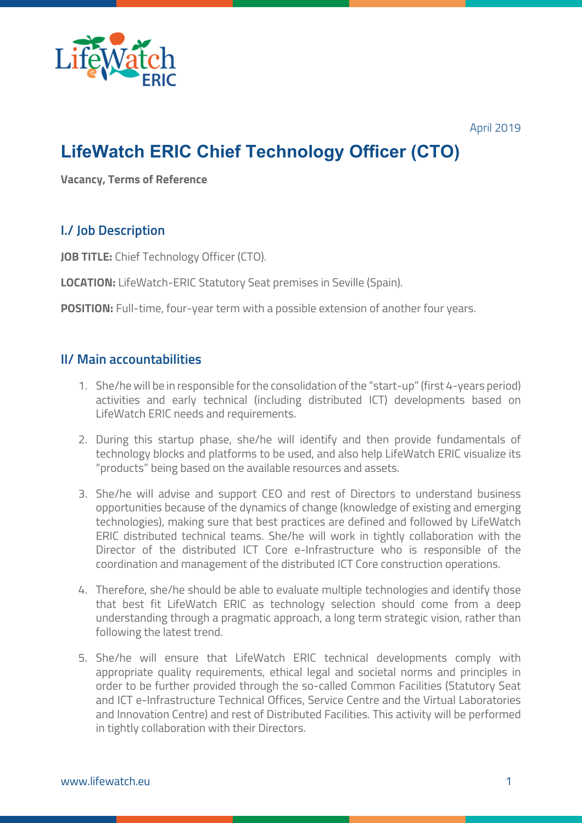

April 2019

# **LifeWatch ERIC Chief Technology Officer (CTO)**

**Vacancy, Terms of Reference**

# **I./ Job Description**

**JOB TITLE:** Chief Technology Officer (CTO).

**LOCATION:** LifeWatch-ERIC Statutory Seat premises in Seville (Spain).

**POSITION:** Full-time, four-year term with a possible extension of another four years.

### **II/ Main accountabilities**

- 1. She/he will be in responsible for the consolidation of the "start-up" (first 4-years period) activities and early technical (including distributed ICT) developments based on LifeWatch ERIC needs and requirements.
- 2. During this startup phase, she/he will identify and then provide fundamentals of technology blocks and platforms to be used, and also help LifeWatch ERIC visualize its "products" being based on the available resources and assets.
- 3. She/he will advise and support CEO and rest of Directors to understand business opportunities because of the dynamics of change (knowledge of existing and emerging technologies), making sure that best practices are defined and followed by LifeWatch ERIC distributed technical teams. She/he will work in tightly collaboration with the Director of the distributed ICT Core e-Infrastructure who is responsible of the coordination and management of the distributed ICT Core construction operations.
- 4. Therefore, she/he should be able to evaluate multiple technologies and identify those that best fit LifeWatch ERIC as technology selection should come from a deep understanding through a pragmatic approach, a long term strategic vision, rather than following the latest trend.
- 5. She/he will ensure that LifeWatch ERIC technical developments comply with appropriate quality requirements, ethical legal and societal norms and principles in order to be further provided through the so-called Common Facilities (Statutory Seat and ICT e-Infrastructure Technical Offices, Service Centre and the Virtual Laboratories and Innovation Centre) and rest of Distributed Facilities. This activity will be performed in tightly collaboration with their Directors.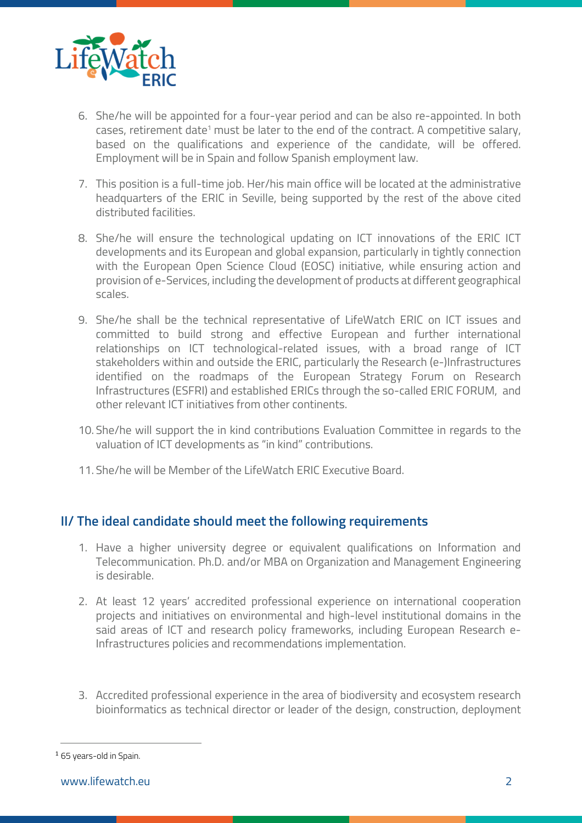

- 6. She/he will be appointed for a four-year period and can be also re-appointed. In both cases, retirement date<sup>1</sup> must be later to the end of the contract. A competitive salary, based on the qualifications and experience of the candidate, will be offered. Employment will be in Spain and follow Spanish employment law.
- 7. This position is a full-time job. Her/his main office will be located at the administrative headquarters of the ERIC in Seville, being supported by the rest of the above cited distributed facilities.
- 8. She/he will ensure the technological updating on ICT innovations of the ERIC ICT developments and its European and global expansion, particularly in tightly connection with the European Open Science Cloud (EOSC) initiative, while ensuring action and provision of e-Services, including the development of products at different geographical scales.
- 9. She/he shall be the technical representative of LifeWatch ERIC on ICT issues and committed to build strong and effective European and further international relationships on ICT technological-related issues, with a broad range of ICT stakeholders within and outside the ERIC, particularly the Research (e-)Infrastructures identified on the roadmaps of the European Strategy Forum on Research Infrastructures (ESFRI) and established ERICs through the so-called ERIC FORUM, and other relevant ICT initiatives from other continents.
- 10. She/he will support the in kind contributions Evaluation Committee in regards to the valuation of ICT developments as "in kind" contributions.
- 11. She/he will be Member of the LifeWatch ERIC Executive Board.

# **II/ The ideal candidate should meet the following requirements**

- 1. Have a higher university degree or equivalent qualifications on Information and Telecommunication. Ph.D. and/or MBA on Organization and Management Engineering is desirable.
- 2. At least 12 years' accredited professional experience on international cooperation projects and initiatives on environmental and high-level institutional domains in the said areas of ICT and research policy frameworks, including European Research e-Infrastructures policies and recommendations implementation.
- 3. Accredited professional experience in the area of biodiversity and ecosystem research bioinformatics as technical director or leader of the design, construction, deployment

<sup>1</sup> 65 years-old in Spain.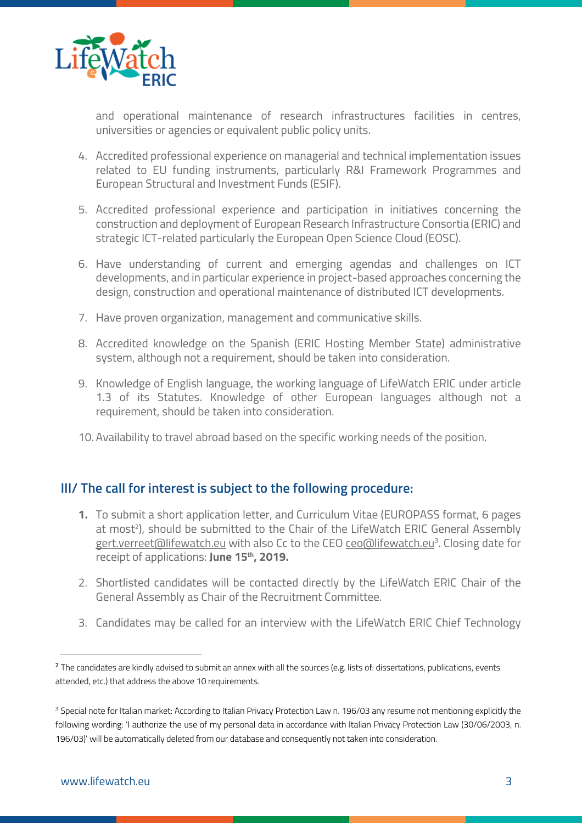

and operational maintenance of research infrastructures facilities in centres, universities or agencies or equivalent public policy units.

- 4. Accredited professional experience on managerial and technical implementation issues related to EU funding instruments, particularly R&I Framework Programmes and European Structural and Investment Funds (ESIF).
- 5. Accredited professional experience and participation in initiatives concerning the construction and deployment of European Research Infrastructure Consortia (ERIC) and strategic ICT-related particularly the European Open Science Cloud (EOSC).
- 6. Have understanding of current and emerging agendas and challenges on ICT developments, and in particular experience in project-based approaches concerning the design, construction and operational maintenance of distributed ICT developments.
- 7. Have proven organization, management and communicative skills.
- 8. Accredited knowledge on the Spanish (ERIC Hosting Member State) administrative system, although not a requirement, should be taken into consideration.
- 9. Knowledge of English language, the working language of LifeWatch ERIC under article 1.3 of its Statutes. Knowledge of other European languages although not a requirement, should be taken into consideration.
- 10. Availability to travel abroad based on the specific working needs of the position.

### **III/ The call for interest is subject to the following procedure:**

- **1.** To submit a short application letter, and Curriculum Vitae (EUROPASS format, 6 pages at most<sup>2</sup>), should be submitted to the Chair of the LifeWatch ERIC General Assembly g<u>ert.verreet@lifewatch.eu</u> with also Cc to the CEO <u>ceo@lifewatch.eu</u>3. Closing date for receipt of applications: **June 15th, 2019.**
- 2. Shortlisted candidates will be contacted directly by the LifeWatch ERIC Chair of the General Assembly as Chair of the Recruitment Committee.
- 3. Candidates may be called for an interview with the LifeWatch ERIC Chief Technology

<sup>&</sup>lt;sup>2</sup> The candidates are kindly advised to submit an annex with all the sources (e.g. lists of: dissertations, publications, events attended, etc.) that address the above 10 requirements.

**<sup>3</sup>** Special note for Italian market: According to Italian Privacy Protection Law n. 196/03 any resume not mentioning explicitly the following wording: 'I authorize the use of my personal data in accordance with Italian Privacy Protection Law (30/06/2003, n. 196/03)' will be automatically deleted from our database and consequently not taken into consideration.